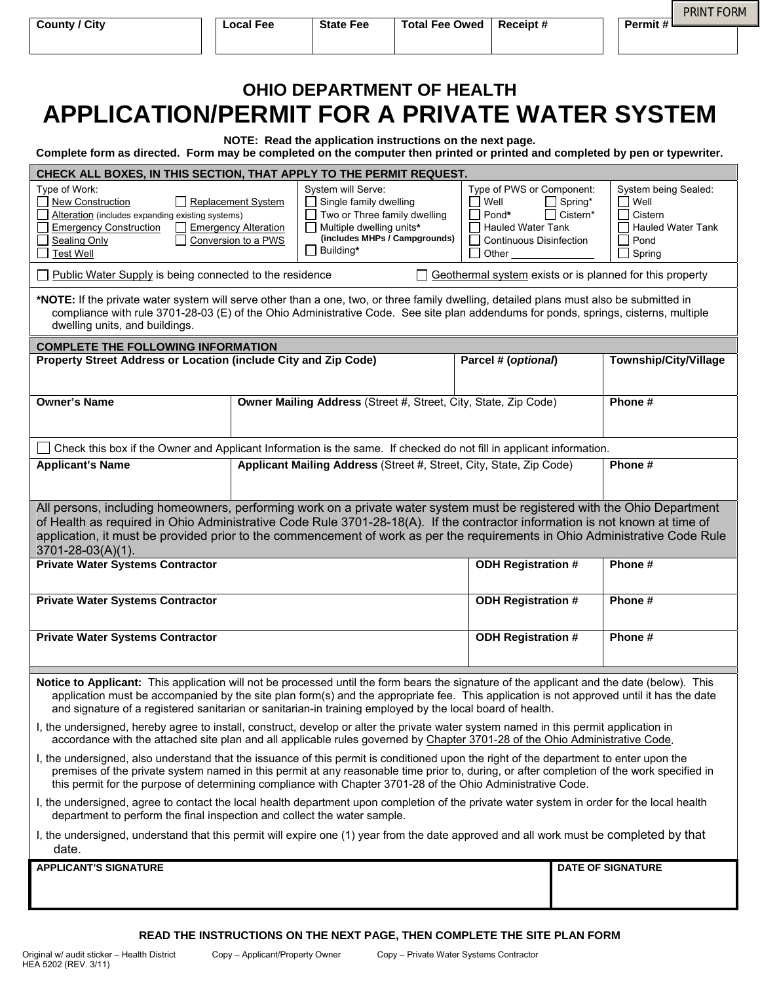| <b>OHIO DEPARTMENT OF HEALTH</b>                                                                                                                                                          |
|-------------------------------------------------------------------------------------------------------------------------------------------------------------------------------------------|
| APPLICATION/PERMIT FOR A PRIVATE WATER SYSTEM                                                                                                                                             |
| NOTE: Read the application instructions on the next page.<br>Complete form as directed. Form may be completed on the computer then printed or printed and completed by pen or typewriter. |

| Type of Work:<br>System will Serve:<br>Type of PWS or Component:<br>System being Sealed:<br>New Construction<br>Single family dwelling<br>$\blacksquare$ Well<br>$\Box$ Spring*<br>Well<br>Replacement System<br>$\Box$ Cistern*<br>Alteration (includes expanding existing systems)<br>Two or Three family dwelling<br>Cistern<br>Pond*<br><b>Emergency Alteration</b><br>$\Box$ Multiple dwelling units*<br>Hauled Water Tank<br>Hauled Water Tank<br><b>Emergency Construction</b><br>(includes MHPs / Campgrounds)<br><b>Sealing Only</b><br>Conversion to a PWS<br>Pond<br>Continuous Disinfection<br>Building*<br><b>Test Well</b><br>ΙI<br>Other $\_$<br>Spring<br>Geothermal system exists or is planned for this property<br>Public Water Supply is being connected to the residence<br>*NOTE: If the private water system will serve other than a one, two, or three family dwelling, detailed plans must also be submitted in<br>compliance with rule 3701-28-03 (E) of the Ohio Administrative Code. See site plan addendums for ponds, springs, cisterns, multiple<br>dwelling units, and buildings.<br><b>COMPLETE THE FOLLOWING INFORMATION</b><br>Property Street Address or Location (include City and Zip Code)<br>Parcel # (optional)<br><b>Township/City/Village</b><br><b>Owner's Name</b><br>Phone #<br>Owner Mailing Address (Street #, Street, City, State, Zip Code)<br>Check this box if the Owner and Applicant Information is the same. If checked do not fill in applicant information.<br>Applicant Mailing Address (Street #, Street, City, State, Zip Code)<br><b>Applicant's Name</b><br>Phone#<br>All persons, including homeowners, performing work on a private water system must be registered with the Ohio Department<br>of Health as required in Ohio Administrative Code Rule 3701-28-18(A). If the contractor information is not known at time of<br>application, it must be provided prior to the commencement of work as per the requirements in Ohio Administrative Code Rule<br>3701-28-03(A)(1).<br><b>Private Water Systems Contractor</b><br><b>ODH Registration #</b><br>Phone#<br><b>ODH Registration #</b><br>Phone #<br><b>Private Water Systems Contractor</b><br><b>ODH Registration #</b><br><b>Private Water Systems Contractor</b><br>Phone #<br>Notice to Applicant: This application will not be processed until the form bears the signature of the applicant and the date (below). This<br>application must be accompanied by the site plan form(s) and the appropriate fee. This application is not approved until it has the date<br>and signature of a registered sanitarian or sanitarian-in training employed by the local board of health.<br>I, the undersigned, hereby agree to install, construct, develop or alter the private water system named in this permit application in<br>accordance with the attached site plan and all applicable rules governed by Chapter 3701-28 of the Ohio Administrative Code.<br>I, the undersigned, also understand that the issuance of this permit is conditioned upon the right of the department to enter upon the<br>premises of the private system named in this permit at any reasonable time prior to, during, or after completion of the work specified in<br>this permit for the purpose of determining compliance with Chapter 3701-28 of the Ohio Administrative Code.<br>I, the undersigned, agree to contact the local health department upon completion of the private water system in order for the local health<br>department to perform the final inspection and collect the water sample.<br>I, the undersigned, understand that this permit will expire one (1) year from the date approved and all work must be completed by that<br>date.<br><b>APPLICANT'S SIGNATURE</b><br><b>DATE OF SIGNATURE</b> |  | CHECK ALL BOXES, IN THIS SECTION, THAT APPLY TO THE PERMIT REQUEST. |  |  |  |  |  |  |  |  |  |  |  |  |
|----------------------------------------------------------------------------------------------------------------------------------------------------------------------------------------------------------------------------------------------------------------------------------------------------------------------------------------------------------------------------------------------------------------------------------------------------------------------------------------------------------------------------------------------------------------------------------------------------------------------------------------------------------------------------------------------------------------------------------------------------------------------------------------------------------------------------------------------------------------------------------------------------------------------------------------------------------------------------------------------------------------------------------------------------------------------------------------------------------------------------------------------------------------------------------------------------------------------------------------------------------------------------------------------------------------------------------------------------------------------------------------------------------------------------------------------------------------------------------------------------------------------------------------------------------------------------------------------------------------------------------------------------------------------------------------------------------------------------------------------------------------------------------------------------------------------------------------------------------------------------------------------------------------------------------------------------------------------------------------------------------------------------------------------------------------------------------------------------------------------------------------------------------------------------------------------------------------------------------------------------------------------------------------------------------------------------------------------------------------------------------------------------------------------------------------------------------------------------------------------------------------------------------------------------------------------------------------------------------------------------------------------------------------------------------------------------------------------------------------------------------------------------------------------------------------------------------------------------------------------------------------------------------------------------------------------------------------------------------------------------------------------------------------------------------------------------------------------------------------------------------------------------------------------------------------------------------------------------------------------------------------------------------------------------------------------------------------------------------------------------------------------------------------------------------------------------------------------------------------------------------------------------------------------------------------------------------------------------------------------------------------------------------------------------------------------------------------------------------------------------------------------------------------------------------------------------------------|--|---------------------------------------------------------------------|--|--|--|--|--|--|--|--|--|--|--|--|
|                                                                                                                                                                                                                                                                                                                                                                                                                                                                                                                                                                                                                                                                                                                                                                                                                                                                                                                                                                                                                                                                                                                                                                                                                                                                                                                                                                                                                                                                                                                                                                                                                                                                                                                                                                                                                                                                                                                                                                                                                                                                                                                                                                                                                                                                                                                                                                                                                                                                                                                                                                                                                                                                                                                                                                                                                                                                                                                                                                                                                                                                                                                                                                                                                                                                                                                                                                                                                                                                                                                                                                                                                                                                                                                                                                                                                                        |  |                                                                     |  |  |  |  |  |  |  |  |  |  |  |  |
|                                                                                                                                                                                                                                                                                                                                                                                                                                                                                                                                                                                                                                                                                                                                                                                                                                                                                                                                                                                                                                                                                                                                                                                                                                                                                                                                                                                                                                                                                                                                                                                                                                                                                                                                                                                                                                                                                                                                                                                                                                                                                                                                                                                                                                                                                                                                                                                                                                                                                                                                                                                                                                                                                                                                                                                                                                                                                                                                                                                                                                                                                                                                                                                                                                                                                                                                                                                                                                                                                                                                                                                                                                                                                                                                                                                                                                        |  |                                                                     |  |  |  |  |  |  |  |  |  |  |  |  |
|                                                                                                                                                                                                                                                                                                                                                                                                                                                                                                                                                                                                                                                                                                                                                                                                                                                                                                                                                                                                                                                                                                                                                                                                                                                                                                                                                                                                                                                                                                                                                                                                                                                                                                                                                                                                                                                                                                                                                                                                                                                                                                                                                                                                                                                                                                                                                                                                                                                                                                                                                                                                                                                                                                                                                                                                                                                                                                                                                                                                                                                                                                                                                                                                                                                                                                                                                                                                                                                                                                                                                                                                                                                                                                                                                                                                                                        |  |                                                                     |  |  |  |  |  |  |  |  |  |  |  |  |
|                                                                                                                                                                                                                                                                                                                                                                                                                                                                                                                                                                                                                                                                                                                                                                                                                                                                                                                                                                                                                                                                                                                                                                                                                                                                                                                                                                                                                                                                                                                                                                                                                                                                                                                                                                                                                                                                                                                                                                                                                                                                                                                                                                                                                                                                                                                                                                                                                                                                                                                                                                                                                                                                                                                                                                                                                                                                                                                                                                                                                                                                                                                                                                                                                                                                                                                                                                                                                                                                                                                                                                                                                                                                                                                                                                                                                                        |  |                                                                     |  |  |  |  |  |  |  |  |  |  |  |  |
|                                                                                                                                                                                                                                                                                                                                                                                                                                                                                                                                                                                                                                                                                                                                                                                                                                                                                                                                                                                                                                                                                                                                                                                                                                                                                                                                                                                                                                                                                                                                                                                                                                                                                                                                                                                                                                                                                                                                                                                                                                                                                                                                                                                                                                                                                                                                                                                                                                                                                                                                                                                                                                                                                                                                                                                                                                                                                                                                                                                                                                                                                                                                                                                                                                                                                                                                                                                                                                                                                                                                                                                                                                                                                                                                                                                                                                        |  |                                                                     |  |  |  |  |  |  |  |  |  |  |  |  |
|                                                                                                                                                                                                                                                                                                                                                                                                                                                                                                                                                                                                                                                                                                                                                                                                                                                                                                                                                                                                                                                                                                                                                                                                                                                                                                                                                                                                                                                                                                                                                                                                                                                                                                                                                                                                                                                                                                                                                                                                                                                                                                                                                                                                                                                                                                                                                                                                                                                                                                                                                                                                                                                                                                                                                                                                                                                                                                                                                                                                                                                                                                                                                                                                                                                                                                                                                                                                                                                                                                                                                                                                                                                                                                                                                                                                                                        |  |                                                                     |  |  |  |  |  |  |  |  |  |  |  |  |
|                                                                                                                                                                                                                                                                                                                                                                                                                                                                                                                                                                                                                                                                                                                                                                                                                                                                                                                                                                                                                                                                                                                                                                                                                                                                                                                                                                                                                                                                                                                                                                                                                                                                                                                                                                                                                                                                                                                                                                                                                                                                                                                                                                                                                                                                                                                                                                                                                                                                                                                                                                                                                                                                                                                                                                                                                                                                                                                                                                                                                                                                                                                                                                                                                                                                                                                                                                                                                                                                                                                                                                                                                                                                                                                                                                                                                                        |  |                                                                     |  |  |  |  |  |  |  |  |  |  |  |  |
|                                                                                                                                                                                                                                                                                                                                                                                                                                                                                                                                                                                                                                                                                                                                                                                                                                                                                                                                                                                                                                                                                                                                                                                                                                                                                                                                                                                                                                                                                                                                                                                                                                                                                                                                                                                                                                                                                                                                                                                                                                                                                                                                                                                                                                                                                                                                                                                                                                                                                                                                                                                                                                                                                                                                                                                                                                                                                                                                                                                                                                                                                                                                                                                                                                                                                                                                                                                                                                                                                                                                                                                                                                                                                                                                                                                                                                        |  |                                                                     |  |  |  |  |  |  |  |  |  |  |  |  |
|                                                                                                                                                                                                                                                                                                                                                                                                                                                                                                                                                                                                                                                                                                                                                                                                                                                                                                                                                                                                                                                                                                                                                                                                                                                                                                                                                                                                                                                                                                                                                                                                                                                                                                                                                                                                                                                                                                                                                                                                                                                                                                                                                                                                                                                                                                                                                                                                                                                                                                                                                                                                                                                                                                                                                                                                                                                                                                                                                                                                                                                                                                                                                                                                                                                                                                                                                                                                                                                                                                                                                                                                                                                                                                                                                                                                                                        |  |                                                                     |  |  |  |  |  |  |  |  |  |  |  |  |
|                                                                                                                                                                                                                                                                                                                                                                                                                                                                                                                                                                                                                                                                                                                                                                                                                                                                                                                                                                                                                                                                                                                                                                                                                                                                                                                                                                                                                                                                                                                                                                                                                                                                                                                                                                                                                                                                                                                                                                                                                                                                                                                                                                                                                                                                                                                                                                                                                                                                                                                                                                                                                                                                                                                                                                                                                                                                                                                                                                                                                                                                                                                                                                                                                                                                                                                                                                                                                                                                                                                                                                                                                                                                                                                                                                                                                                        |  |                                                                     |  |  |  |  |  |  |  |  |  |  |  |  |
|                                                                                                                                                                                                                                                                                                                                                                                                                                                                                                                                                                                                                                                                                                                                                                                                                                                                                                                                                                                                                                                                                                                                                                                                                                                                                                                                                                                                                                                                                                                                                                                                                                                                                                                                                                                                                                                                                                                                                                                                                                                                                                                                                                                                                                                                                                                                                                                                                                                                                                                                                                                                                                                                                                                                                                                                                                                                                                                                                                                                                                                                                                                                                                                                                                                                                                                                                                                                                                                                                                                                                                                                                                                                                                                                                                                                                                        |  |                                                                     |  |  |  |  |  |  |  |  |  |  |  |  |
|                                                                                                                                                                                                                                                                                                                                                                                                                                                                                                                                                                                                                                                                                                                                                                                                                                                                                                                                                                                                                                                                                                                                                                                                                                                                                                                                                                                                                                                                                                                                                                                                                                                                                                                                                                                                                                                                                                                                                                                                                                                                                                                                                                                                                                                                                                                                                                                                                                                                                                                                                                                                                                                                                                                                                                                                                                                                                                                                                                                                                                                                                                                                                                                                                                                                                                                                                                                                                                                                                                                                                                                                                                                                                                                                                                                                                                        |  |                                                                     |  |  |  |  |  |  |  |  |  |  |  |  |
|                                                                                                                                                                                                                                                                                                                                                                                                                                                                                                                                                                                                                                                                                                                                                                                                                                                                                                                                                                                                                                                                                                                                                                                                                                                                                                                                                                                                                                                                                                                                                                                                                                                                                                                                                                                                                                                                                                                                                                                                                                                                                                                                                                                                                                                                                                                                                                                                                                                                                                                                                                                                                                                                                                                                                                                                                                                                                                                                                                                                                                                                                                                                                                                                                                                                                                                                                                                                                                                                                                                                                                                                                                                                                                                                                                                                                                        |  |                                                                     |  |  |  |  |  |  |  |  |  |  |  |  |
|                                                                                                                                                                                                                                                                                                                                                                                                                                                                                                                                                                                                                                                                                                                                                                                                                                                                                                                                                                                                                                                                                                                                                                                                                                                                                                                                                                                                                                                                                                                                                                                                                                                                                                                                                                                                                                                                                                                                                                                                                                                                                                                                                                                                                                                                                                                                                                                                                                                                                                                                                                                                                                                                                                                                                                                                                                                                                                                                                                                                                                                                                                                                                                                                                                                                                                                                                                                                                                                                                                                                                                                                                                                                                                                                                                                                                                        |  |                                                                     |  |  |  |  |  |  |  |  |  |  |  |  |
|                                                                                                                                                                                                                                                                                                                                                                                                                                                                                                                                                                                                                                                                                                                                                                                                                                                                                                                                                                                                                                                                                                                                                                                                                                                                                                                                                                                                                                                                                                                                                                                                                                                                                                                                                                                                                                                                                                                                                                                                                                                                                                                                                                                                                                                                                                                                                                                                                                                                                                                                                                                                                                                                                                                                                                                                                                                                                                                                                                                                                                                                                                                                                                                                                                                                                                                                                                                                                                                                                                                                                                                                                                                                                                                                                                                                                                        |  |                                                                     |  |  |  |  |  |  |  |  |  |  |  |  |
|                                                                                                                                                                                                                                                                                                                                                                                                                                                                                                                                                                                                                                                                                                                                                                                                                                                                                                                                                                                                                                                                                                                                                                                                                                                                                                                                                                                                                                                                                                                                                                                                                                                                                                                                                                                                                                                                                                                                                                                                                                                                                                                                                                                                                                                                                                                                                                                                                                                                                                                                                                                                                                                                                                                                                                                                                                                                                                                                                                                                                                                                                                                                                                                                                                                                                                                                                                                                                                                                                                                                                                                                                                                                                                                                                                                                                                        |  |                                                                     |  |  |  |  |  |  |  |  |  |  |  |  |
|                                                                                                                                                                                                                                                                                                                                                                                                                                                                                                                                                                                                                                                                                                                                                                                                                                                                                                                                                                                                                                                                                                                                                                                                                                                                                                                                                                                                                                                                                                                                                                                                                                                                                                                                                                                                                                                                                                                                                                                                                                                                                                                                                                                                                                                                                                                                                                                                                                                                                                                                                                                                                                                                                                                                                                                                                                                                                                                                                                                                                                                                                                                                                                                                                                                                                                                                                                                                                                                                                                                                                                                                                                                                                                                                                                                                                                        |  |                                                                     |  |  |  |  |  |  |  |  |  |  |  |  |
|                                                                                                                                                                                                                                                                                                                                                                                                                                                                                                                                                                                                                                                                                                                                                                                                                                                                                                                                                                                                                                                                                                                                                                                                                                                                                                                                                                                                                                                                                                                                                                                                                                                                                                                                                                                                                                                                                                                                                                                                                                                                                                                                                                                                                                                                                                                                                                                                                                                                                                                                                                                                                                                                                                                                                                                                                                                                                                                                                                                                                                                                                                                                                                                                                                                                                                                                                                                                                                                                                                                                                                                                                                                                                                                                                                                                                                        |  |                                                                     |  |  |  |  |  |  |  |  |  |  |  |  |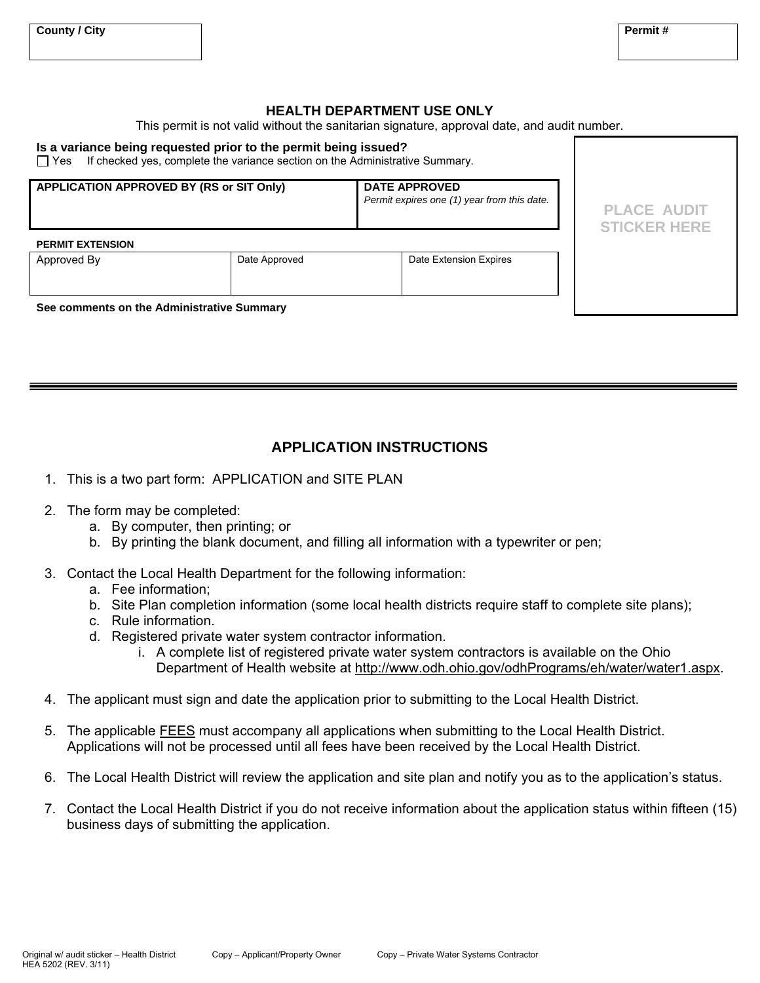### **HEALTH DEPARTMENT USE ONLY**

This permit is not valid without the sanitarian signature, approval date, and audit number.

#### **Is a variance being requested prior to the permit being issued?**

 $\Box$  Yes If checked yes, complete the variance section on the Administrative Summary.

| <b>APPLICATION APPROVED BY (RS or SIT Only)</b> |               | <b>DATE APPROVED</b><br>Permit expires one (1) year from this date. | <b>PLACE AUDIT</b><br><b>STICKER HERE</b> |
|-------------------------------------------------|---------------|---------------------------------------------------------------------|-------------------------------------------|
| <b>PERMIT EXTENSION</b><br>Approved By          | Date Approved | Date Extension Expires                                              |                                           |
| See comments on the Administrative Summary      |               |                                                                     |                                           |

#### **See comments on the Administrative Summary**

## **APPLICATION INSTRUCTIONS**

- 1. This is a two part form: APPLICATION and SITE PLAN
- 2. The form may be completed:
	- a. By computer, then printing; or
	- b. By printing the blank document, and filling all information with a typewriter or pen;
- 3. Contact the Local Health Department for the following information:
	- a. Fee information;
	- b. Site Plan completion information (some local health districts require staff to complete site plans);
	- c. Rule information.
	- d. Registered private water system contractor information.
		- i. A complete list of registered private water system contractors is available on the Ohio Department of Health website at http://www.odh.ohio.gov/odhPrograms/eh/water/water1.aspx.
- 4. The applicant must sign and date the application prior to submitting to the Local Health District.
- 5. The applicable FEES must accompany all applications when submitting to the Local Health District. Applications will not be processed until all fees have been received by the Local Health District.
- 6. The Local Health District will review the application and site plan and notify you as to the application's status.
- 7. Contact the Local Health District if you do not receive information about the application status within fifteen (15) business days of submitting the application.